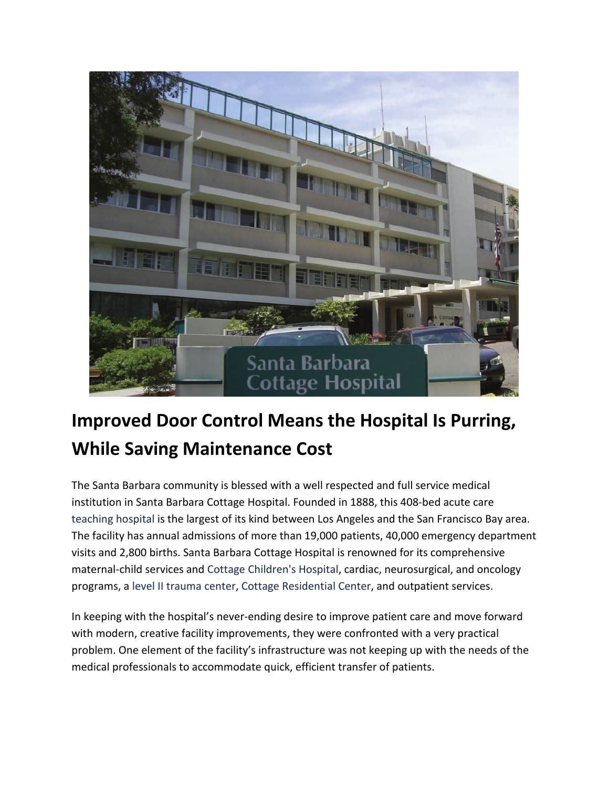

## **Improved Door Control Means the Hospital Is Purring, While Saving Maintenance Cost**

The Santa Barbara community is blessed with a well respected and full service medical institution in Santa Barbara Cottage Hospital. Founded in 1888, this 408-bed acute care [teaching hospital](http://www.cottagehealthsystem.org/tabid/215/Default.aspx) is the largest of its kind between Los Angeles and the San Francisco Bay area. The facility has annual admissions of more than 19,000 patients, 40,000 emergency department visits and 2,800 births. Santa Barbara Cottage Hospital is renowned for its comprehensive maternal-child services and [Cottage Children's Hospital,](http://www.cottagehealthsystem.org/LinkClick.aspx?link=150&tabid=142) cardiac, neurosurgical, and oncology programs, a [level II trauma center,](http://www.cottagehealthsystem.org/LinkClick.aspx?link=305&tabid=142) [Cottage Residential Center,](http://www.cottagehealthsystem.org/LinkClick.aspx?link=181&tabid=142) and outpatient services.

In keeping with the hospital's never-ending desire to improve patient care and move forward with modern, creative facility improvements, they were confronted with a very practical problem. One element of the facility's infrastructure was not keeping up with the needs of the medical professionals to accommodate quick, efficient transfer of patients.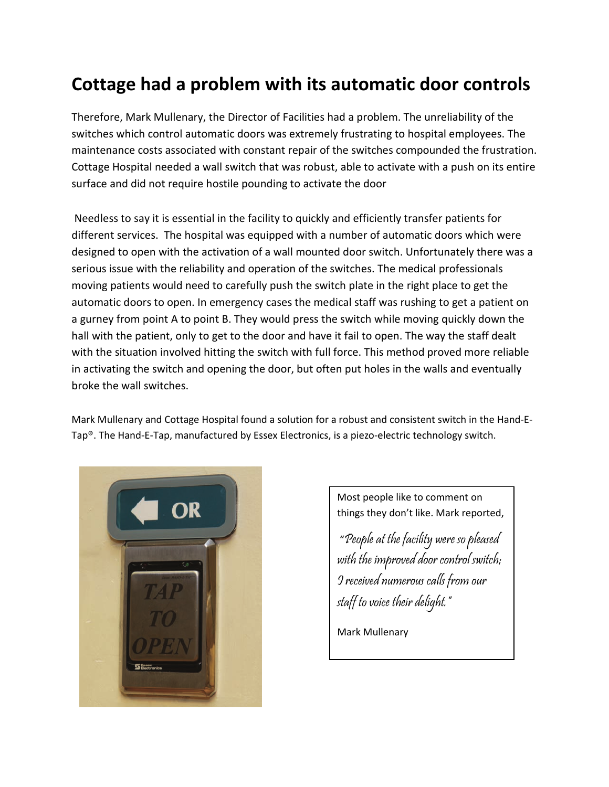## **Cottage had a problem with its automatic door controls**

Therefore, Mark Mullenary, the Director of Facilities had a problem. The unreliability of the switches which control automatic doors was extremely frustrating to hospital employees. The maintenance costs associated with constant repair of the switches compounded the frustration. Cottage Hospital needed a wall switch that was robust, able to activate with a push on its entire surface and did not require hostile pounding to activate the door

Needless to say it is essential in the facility to quickly and efficiently transfer patients for different services. The hospital was equipped with a number of automatic doors which were designed to open with the activation of a wall mounted door switch. Unfortunately there was a serious issue with the reliability and operation of the switches. The medical professionals moving patients would need to carefully push the switch plate in the right place to get the automatic doors to open. In emergency cases the medical staff was rushing to get a patient on a gurney from point A to point B. They would press the switch while moving quickly down the hall with the patient, only to get to the door and have it fail to open. The way the staff dealt with the situation involved hitting the switch with full force. This method proved more reliable in activating the switch and opening the door, but often put holes in the walls and eventually broke the wall switches.

Mark Mullenary and Cottage Hospital found a solution for a robust and consistent switch in the Hand-E-Tap®. The Hand-E-Tap, manufactured by Essex Electronics, is a piezo-electric technology switch.



Most people like to comment on things they don't like. Mark reported,

 "People at the facility were so pleased with the improved door control switch; I received numerous calls from our staff to voice their delight."

Mark Mullenary